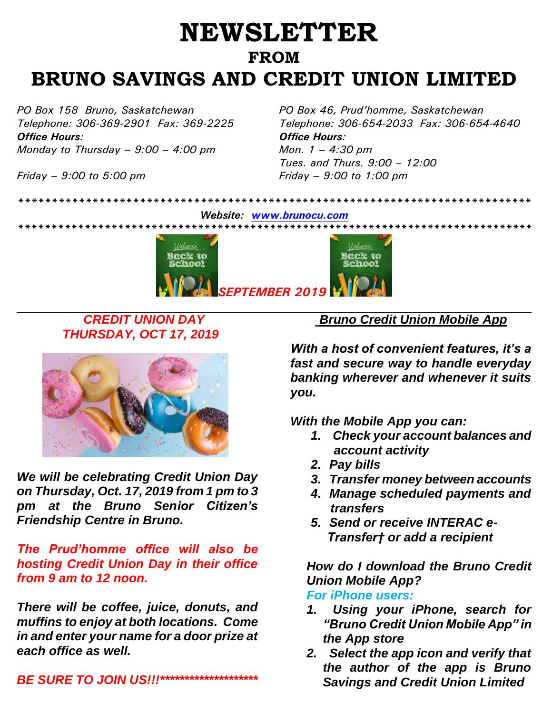# **NEWSLETTER FROM BRUNO SAVINGS AND CREDIT UNION LIMITED**

*Office Hours: Office Hours: Monday to Thursday – 9:00 – 4:00 pm Mon. 1 – 4:30 pm*

*PO Box 158 Bruno, Saskatchewan PO Box 46, Prud'homme, Saskatchewan Telephone: 306-369-2901 Fax: 369-2225 Telephone: 306-654-2033 Fax: 306-654-4640 Tues. and Thurs. 9:00 – 12:00 Friday – 9:00 to 5:00 pm Friday – 9:00 to 1:00 pm*



*\*\*\*\*\*\*\*\*\*\*\*\*\*\*\*\*\*\*\*\*\*\*\*\*\*\*\*\*\*\*\*\*\*\*\*\*\*\*\*\*\*\*\*\*\*\*\*\*\*\*\*\*\*\*\*\*\*\*\*\*\*\*\*\*\*\*\*\*\*\*\*\*\*\*\*\**

# *CREDIT UNION DAY THURSDAY, OCT 17, 2019*



*We will be celebrating Credit Union Day on Thursday, Oct. 17, 2019 from 1 pm to 3 pm at the Bruno Senior Citizen's Friendship Centre in Bruno.* 

*The Prud'homme office will also be hosting Credit Union Day in their office from 9 am to 12 noon.* 

*There will be coffee, juice, donuts, and muffins to enjoy at both locations. Come in and enter your name for a door prize at each office as well.* 

*BE SURE TO JOIN US!!!\*\*\*\*\*\*\*\*\*\*\*\*\*\*\*\*\*\*\*\** 

 *Bruno Credit Union Mobile App*

*With a host of convenient features, it's a fast and secure way to handle everyday banking wherever and whenever it suits you.* 

*With the Mobile App you can:*

- *1. Check your account balances and account activity*
- *2. Pay bills*
- *3. Transfer money between accounts*
- *4. Manage scheduled payments and transfers*
- *5. Send or receive INTERAC e-Transfer† or add a recipient*

*How do I download the Bruno Credit Union Mobile App?*

### *For iPhone users:*

- *1. Using your iPhone, search for "Bruno Credit Union Mobile App" in the App store*
- *2. Select the app icon and verify that the author of the app is Bruno Savings and Credit Union Limited*